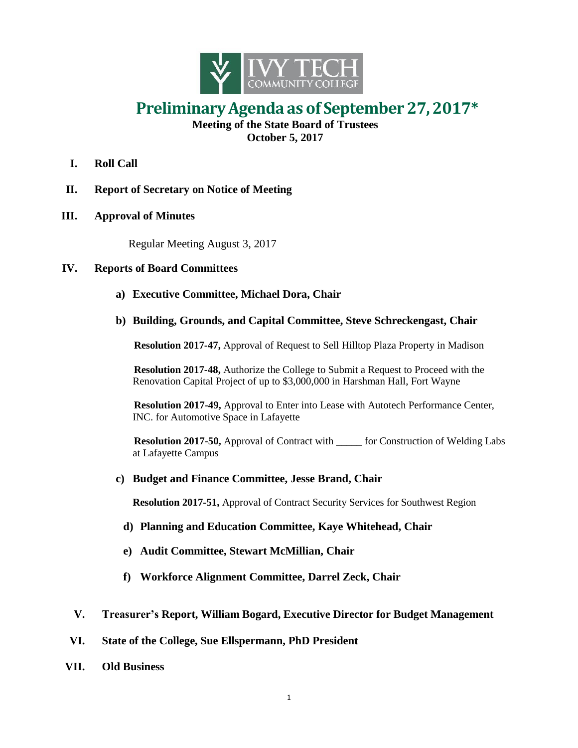

## **PreliminaryAgenda as of September 27,2017\***

**Meeting of the State Board of Trustees October 5, 2017**

- **I. Roll Call**
- **II. Report of Secretary on Notice of Meeting**
- **III. Approval of Minutes**

Regular Meeting August 3, 2017

## **IV. Reports of Board Committees**

- **a) Executive Committee, Michael Dora, Chair**
- **b) Building, Grounds, and Capital Committee, Steve Schreckengast, Chair**

**Resolution 2017-47,** Approval of Request to Sell Hilltop Plaza Property in Madison

**Resolution 2017-48,** Authorize the College to Submit a Request to Proceed with the Renovation Capital Project of up to \$3,000,000 in Harshman Hall, Fort Wayne

**Resolution 2017-49,** Approval to Enter into Lease with Autotech Performance Center, INC. for Automotive Space in Lafayette

**Resolution 2017-50,** Approval of Contract with \_\_\_\_\_ for Construction of Welding Labs at Lafayette Campus

**c) Budget and Finance Committee, Jesse Brand, Chair**

**Resolution 2017-51,** Approval of Contract Security Services for Southwest Region

- **d) Planning and Education Committee, Kaye Whitehead, Chair**
- **e) Audit Committee, Stewart McMillian, Chair**
- **f) Workforce Alignment Committee, Darrel Zeck, Chair**
- **V. Treasurer's Report, William Bogard, Executive Director for Budget Management**
- **VI. State of the College, Sue Ellspermann, PhD President**
- **VII. Old Business**